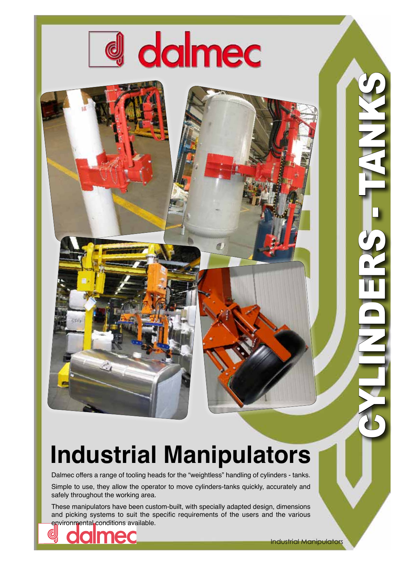

## **Industrial Manipulators**

Dalmec offers a range of tooling heads for the "weightless" handling of cylinders - tanks.

Simple to use, they allow the operator to move cylinders-tanks quickly, accurately and safely throughout the working area.

These manipulators have been custom-built, with specially adapted design, dimensions and picking systems to suit the specific requirements of the users and the various environmental conditions available.



CYLINDERS - TANKS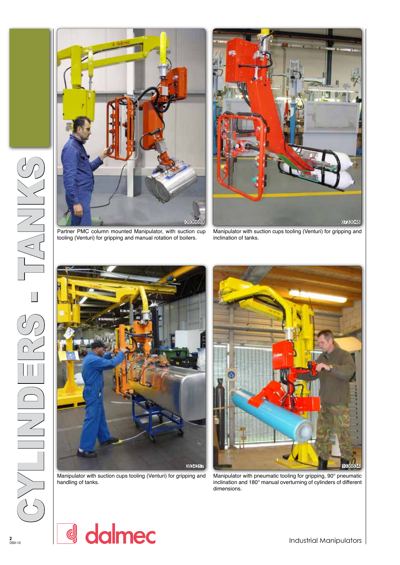





tooling (Venturi) for gripping and manual rotation of boilers.

Manipulator with suction cups tooling (Venturi) for gripping and inclination of tanks.



Manipulator with suction cups tooling (Venturi) for gripping and handling of tanks.

0834317 **1036834** 

Manipulator with pneumatic tooling for gripping, 90° pneumatic inclination and 180° manual overturning of cylinders of different dimensions.

Industrial Manipulators

d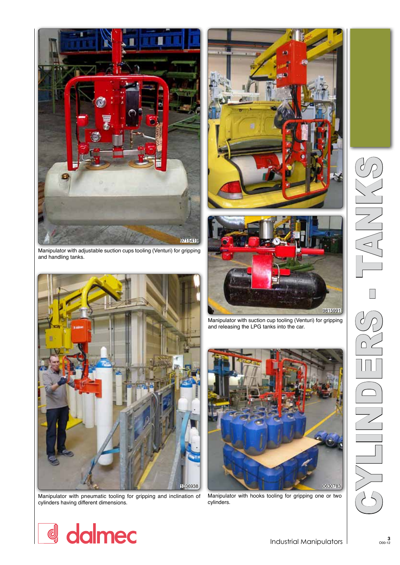

Manipulator with adjustable suction cups tooling (Venturi) for gripping and handling tanks.



Manipulator with pneumatic tooling for gripping and inclination of cylinders having different dimensions.





Manipulator with suction cup tooling (Venturi) for gripping and releasing the LPG tanks into the car.



Manipulator with hooks tooling for gripping one or two cylinders.